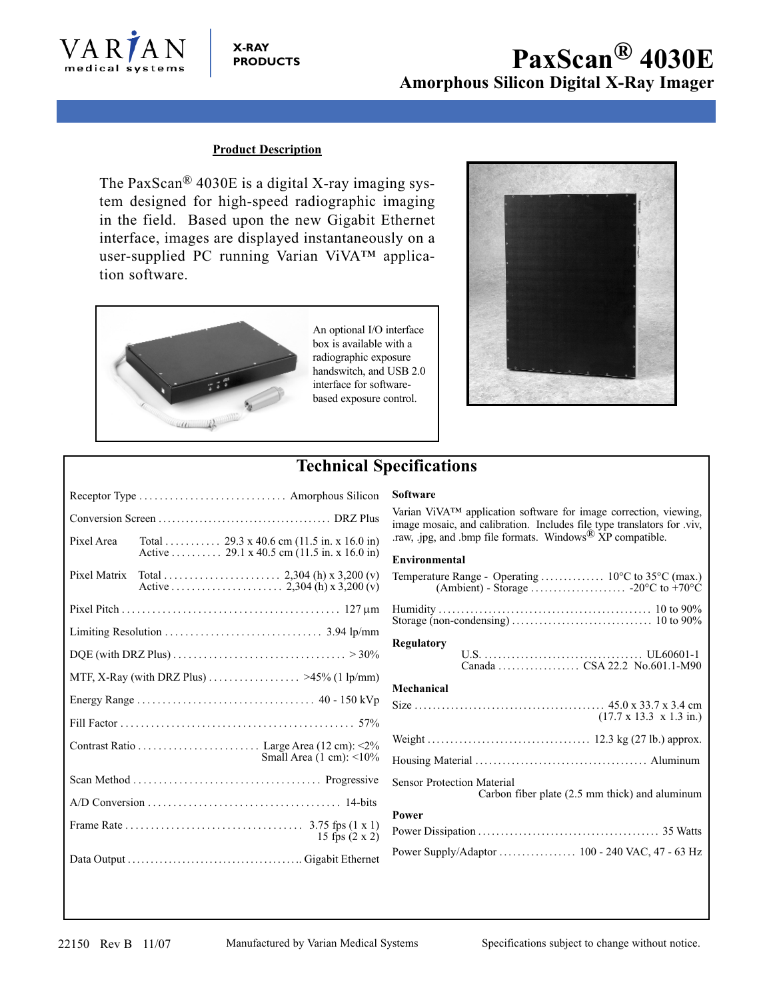

### **X-RAY PRODUCTS**

# **PaxScan® 4030E Amorphous Silicon Digital X-Ray Imager**

### **Product Description**

The PaxScan® 4030E is a digital X-ray imaging system designed for high-speed radiographic imaging in the field. Based upon the new Gigabit Ethernet interface, images are displayed instantaneously on a user-supplied PC running Varian ViVA™ application software.



An optional I/O interface box is available with a radiographic exposure handswitch, and USB 2.0 interface for softwarebased exposure control.



# **Technical Specifications**

|                                                                                                           |  | Receptor Type  Amorphous Silicon                                                          |
|-----------------------------------------------------------------------------------------------------------|--|-------------------------------------------------------------------------------------------|
|                                                                                                           |  |                                                                                           |
| Pixel Area                                                                                                |  | Total  29.3 x 40.6 cm (11.5 in. x 16.0 in)<br>Active  29.1 x 40.5 cm (11.5 in. x 16.0 in) |
| Pixel Matrix                                                                                              |  |                                                                                           |
|                                                                                                           |  |                                                                                           |
|                                                                                                           |  |                                                                                           |
| DQE (with DRZ Plus) $\ldots \ldots \ldots \ldots \ldots \ldots \ldots \ldots \ldots \ldots \ldots > 30\%$ |  |                                                                                           |
| MTF, X-Ray (with DRZ Plus) $\ldots \ldots \ldots \ldots \ldots \approx 45\%$ (1 lp/mm)                    |  |                                                                                           |
|                                                                                                           |  |                                                                                           |
|                                                                                                           |  |                                                                                           |
| Small Area $(1 \text{ cm})$ : <10%                                                                        |  |                                                                                           |
|                                                                                                           |  |                                                                                           |
|                                                                                                           |  |                                                                                           |
|                                                                                                           |  | 15 fps $(2 \times 2)$                                                                     |
|                                                                                                           |  |                                                                                           |

Varian ViVA™ application software for image correction, viewing, image mosaic, and calibration. Includes file type translators for .viv, .raw, .jpg, and .bmp file formats. Windows<sup>®</sup> XP compatible.

#### **Environmental**

**Software**

| Regulatory                                                                          |  |  |
|-------------------------------------------------------------------------------------|--|--|
| Mechanical                                                                          |  |  |
| $(17.7 \times 13.3 \times 1.3 \text{ in.})$                                         |  |  |
|                                                                                     |  |  |
|                                                                                     |  |  |
| <b>Sensor Protection Material</b><br>Carbon fiber plate (2.5 mm thick) and aluminum |  |  |
| Power                                                                               |  |  |
|                                                                                     |  |  |
| Power Supply/Adaptor  100 - 240 VAC, 47 - 63 Hz                                     |  |  |